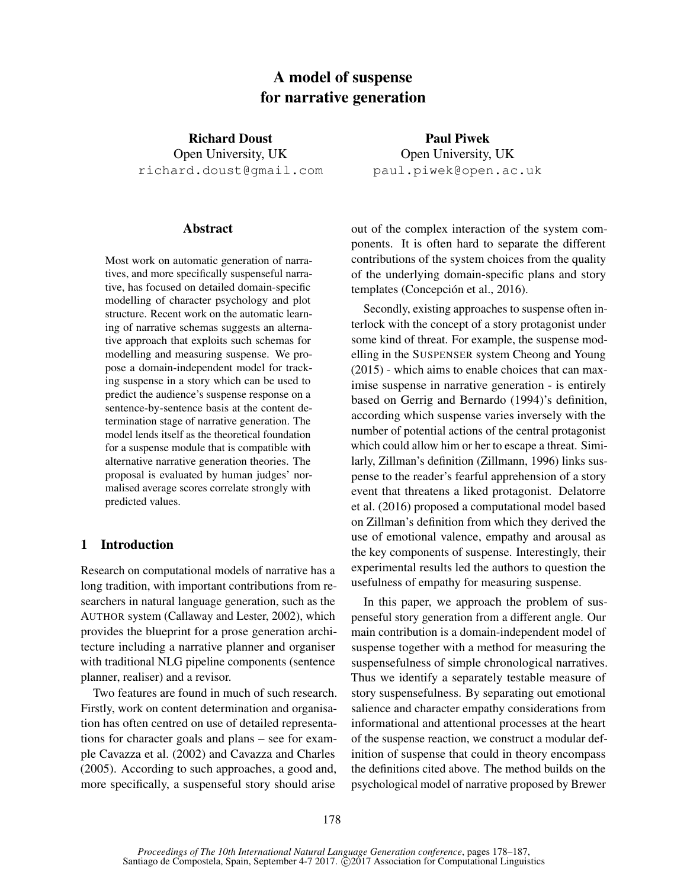# A model of suspense for narrative generation

Richard Doust Open University, UK richard.doust@gmail.com

## Abstract

Most work on automatic generation of narratives, and more specifically suspenseful narrative, has focused on detailed domain-specific modelling of character psychology and plot structure. Recent work on the automatic learning of narrative schemas suggests an alternative approach that exploits such schemas for modelling and measuring suspense. We propose a domain-independent model for tracking suspense in a story which can be used to predict the audience's suspense response on a sentence-by-sentence basis at the content determination stage of narrative generation. The model lends itself as the theoretical foundation for a suspense module that is compatible with alternative narrative generation theories. The proposal is evaluated by human judges' normalised average scores correlate strongly with predicted values.

## 1 Introduction

Research on computational models of narrative has a long tradition, with important contributions from researchers in natural language generation, such as the AUTHOR system (Callaway and Lester, 2002), which provides the blueprint for a prose generation architecture including a narrative planner and organiser with traditional NLG pipeline components (sentence planner, realiser) and a revisor.

Two features are found in much of such research. Firstly, work on content determination and organisation has often centred on use of detailed representations for character goals and plans – see for example Cavazza et al. (2002) and Cavazza and Charles (2005). According to such approaches, a good and, more specifically, a suspenseful story should arise

Paul Piwek Open University, UK paul.piwek@open.ac.uk

out of the complex interaction of the system components. It is often hard to separate the different contributions of the system choices from the quality of the underlying domain-specific plans and story templates (Concepción et al., 2016).

Secondly, existing approaches to suspense often interlock with the concept of a story protagonist under some kind of threat. For example, the suspense modelling in the SUSPENSER system Cheong and Young (2015) - which aims to enable choices that can maximise suspense in narrative generation - is entirely based on Gerrig and Bernardo (1994)'s definition, according which suspense varies inversely with the number of potential actions of the central protagonist which could allow him or her to escape a threat. Similarly, Zillman's definition (Zillmann, 1996) links suspense to the reader's fearful apprehension of a story event that threatens a liked protagonist. Delatorre et al. (2016) proposed a computational model based on Zillman's definition from which they derived the use of emotional valence, empathy and arousal as the key components of suspense. Interestingly, their experimental results led the authors to question the usefulness of empathy for measuring suspense.

In this paper, we approach the problem of suspenseful story generation from a different angle. Our main contribution is a domain-independent model of suspense together with a method for measuring the suspensefulness of simple chronological narratives. Thus we identify a separately testable measure of story suspensefulness. By separating out emotional salience and character empathy considerations from informational and attentional processes at the heart of the suspense reaction, we construct a modular definition of suspense that could in theory encompass the definitions cited above. The method builds on the psychological model of narrative proposed by Brewer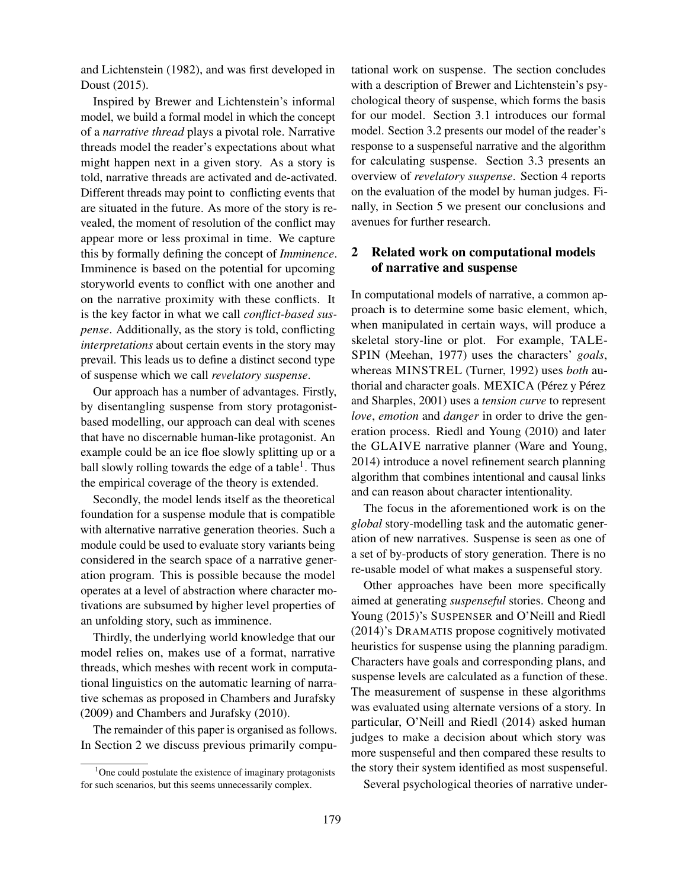and Lichtenstein (1982), and was first developed in Doust (2015).

Inspired by Brewer and Lichtenstein's informal model, we build a formal model in which the concept of a *narrative thread* plays a pivotal role. Narrative threads model the reader's expectations about what might happen next in a given story. As a story is told, narrative threads are activated and de-activated. Different threads may point to conflicting events that are situated in the future. As more of the story is revealed, the moment of resolution of the conflict may appear more or less proximal in time. We capture this by formally defining the concept of *Imminence*. Imminence is based on the potential for upcoming storyworld events to conflict with one another and on the narrative proximity with these conflicts. It is the key factor in what we call *conflict-based suspense*. Additionally, as the story is told, conflicting *interpretations* about certain events in the story may prevail. This leads us to define a distinct second type of suspense which we call *revelatory suspense*.

Our approach has a number of advantages. Firstly, by disentangling suspense from story protagonistbased modelling, our approach can deal with scenes that have no discernable human-like protagonist. An example could be an ice floe slowly splitting up or a ball slowly rolling towards the edge of a table<sup>1</sup>. Thus the empirical coverage of the theory is extended.

Secondly, the model lends itself as the theoretical foundation for a suspense module that is compatible with alternative narrative generation theories. Such a module could be used to evaluate story variants being considered in the search space of a narrative generation program. This is possible because the model operates at a level of abstraction where character motivations are subsumed by higher level properties of an unfolding story, such as imminence.

Thirdly, the underlying world knowledge that our model relies on, makes use of a format, narrative threads, which meshes with recent work in computational linguistics on the automatic learning of narrative schemas as proposed in Chambers and Jurafsky (2009) and Chambers and Jurafsky (2010).

The remainder of this paper is organised as follows. In Section 2 we discuss previous primarily computational work on suspense. The section concludes with a description of Brewer and Lichtenstein's psychological theory of suspense, which forms the basis for our model. Section 3.1 introduces our formal model. Section 3.2 presents our model of the reader's response to a suspenseful narrative and the algorithm for calculating suspense. Section 3.3 presents an overview of *revelatory suspense*. Section 4 reports on the evaluation of the model by human judges. Finally, in Section 5 we present our conclusions and avenues for further research.

## 2 Related work on computational models of narrative and suspense

In computational models of narrative, a common approach is to determine some basic element, which, when manipulated in certain ways, will produce a skeletal story-line or plot. For example, TALE-SPIN (Meehan, 1977) uses the characters' *goals*, whereas MINSTREL (Turner, 1992) uses *both* authorial and character goals. MEXICA (Pérez y Pérez and Sharples, 2001) uses a *tension curve* to represent *love*, *emotion* and *danger* in order to drive the generation process. Riedl and Young (2010) and later the GLAIVE narrative planner (Ware and Young, 2014) introduce a novel refinement search planning algorithm that combines intentional and causal links and can reason about character intentionality.

The focus in the aforementioned work is on the *global* story-modelling task and the automatic generation of new narratives. Suspense is seen as one of a set of by-products of story generation. There is no re-usable model of what makes a suspenseful story.

Other approaches have been more specifically aimed at generating *suspenseful* stories. Cheong and Young (2015)'s SUSPENSER and O'Neill and Riedl (2014)'s DRAMATIS propose cognitively motivated heuristics for suspense using the planning paradigm. Characters have goals and corresponding plans, and suspense levels are calculated as a function of these. The measurement of suspense in these algorithms was evaluated using alternate versions of a story. In particular, O'Neill and Riedl (2014) asked human judges to make a decision about which story was more suspenseful and then compared these results to the story their system identified as most suspenseful.

Several psychological theories of narrative under-

 $1$ One could postulate the existence of imaginary protagonists for such scenarios, but this seems unnecessarily complex.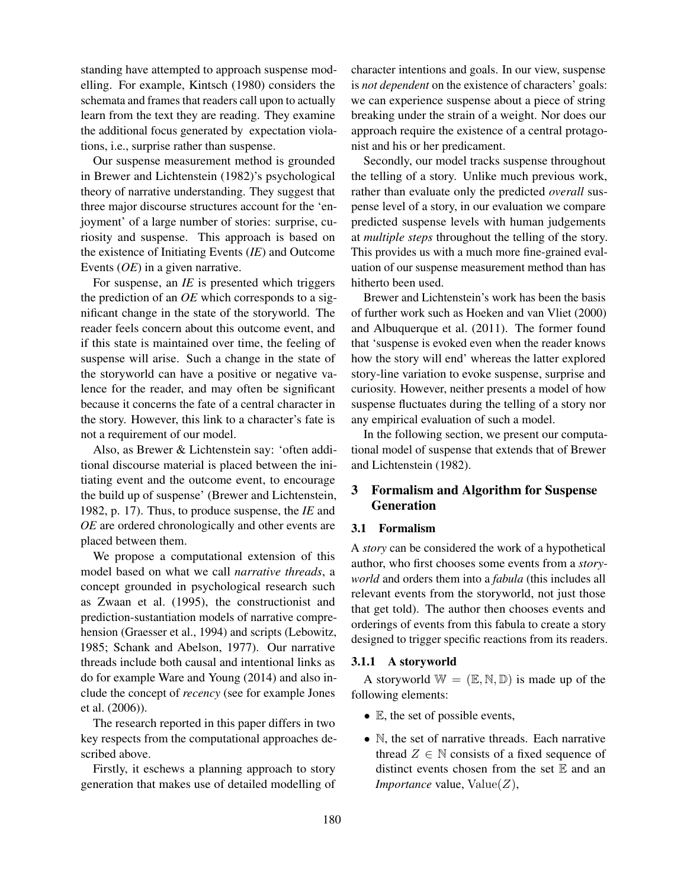standing have attempted to approach suspense modelling. For example, Kintsch (1980) considers the schemata and frames that readers call upon to actually learn from the text they are reading. They examine the additional focus generated by expectation violations, i.e., surprise rather than suspense.

Our suspense measurement method is grounded in Brewer and Lichtenstein (1982)'s psychological theory of narrative understanding. They suggest that three major discourse structures account for the 'enjoyment' of a large number of stories: surprise, curiosity and suspense. This approach is based on the existence of Initiating Events (*IE*) and Outcome Events (*OE*) in a given narrative.

For suspense, an *IE* is presented which triggers the prediction of an *OE* which corresponds to a significant change in the state of the storyworld. The reader feels concern about this outcome event, and if this state is maintained over time, the feeling of suspense will arise. Such a change in the state of the storyworld can have a positive or negative valence for the reader, and may often be significant because it concerns the fate of a central character in the story. However, this link to a character's fate is not a requirement of our model.

Also, as Brewer & Lichtenstein say: 'often additional discourse material is placed between the initiating event and the outcome event, to encourage the build up of suspense' (Brewer and Lichtenstein, 1982, p. 17). Thus, to produce suspense, the *IE* and *OE* are ordered chronologically and other events are placed between them.

We propose a computational extension of this model based on what we call *narrative threads*, a concept grounded in psychological research such as Zwaan et al. (1995), the constructionist and prediction-sustantiation models of narrative comprehension (Graesser et al., 1994) and scripts (Lebowitz, 1985; Schank and Abelson, 1977). Our narrative threads include both causal and intentional links as do for example Ware and Young (2014) and also include the concept of *recency* (see for example Jones et al. (2006)).

The research reported in this paper differs in two key respects from the computational approaches described above.

Firstly, it eschews a planning approach to story generation that makes use of detailed modelling of character intentions and goals. In our view, suspense is *not dependent* on the existence of characters' goals: we can experience suspense about a piece of string breaking under the strain of a weight. Nor does our approach require the existence of a central protagonist and his or her predicament.

Secondly, our model tracks suspense throughout the telling of a story. Unlike much previous work, rather than evaluate only the predicted *overall* suspense level of a story, in our evaluation we compare predicted suspense levels with human judgements at *multiple steps* throughout the telling of the story. This provides us with a much more fine-grained evaluation of our suspense measurement method than has hitherto been used.

Brewer and Lichtenstein's work has been the basis of further work such as Hoeken and van Vliet (2000) and Albuquerque et al. (2011). The former found that 'suspense is evoked even when the reader knows how the story will end' whereas the latter explored story-line variation to evoke suspense, surprise and curiosity. However, neither presents a model of how suspense fluctuates during the telling of a story nor any empirical evaluation of such a model.

In the following section, we present our computational model of suspense that extends that of Brewer and Lichtenstein (1982).

## 3 Formalism and Algorithm for Suspense Generation

## 3.1 Formalism

A *story* can be considered the work of a hypothetical author, who first chooses some events from a *storyworld* and orders them into a *fabula* (this includes all relevant events from the storyworld, not just those that get told). The author then chooses events and orderings of events from this fabula to create a story designed to trigger specific reactions from its readers.

## 3.1.1 A storyworld

A storyworld  $\mathbb{W} = (\mathbb{E}, \mathbb{N}, \mathbb{D})$  is made up of the following elements:

- E, the set of possible events,
- N, the set of narrative threads. Each narrative thread  $Z \in \mathbb{N}$  consists of a fixed sequence of distinct events chosen from the set  $E$  and an *Importance* value,  $Value(Z)$ ,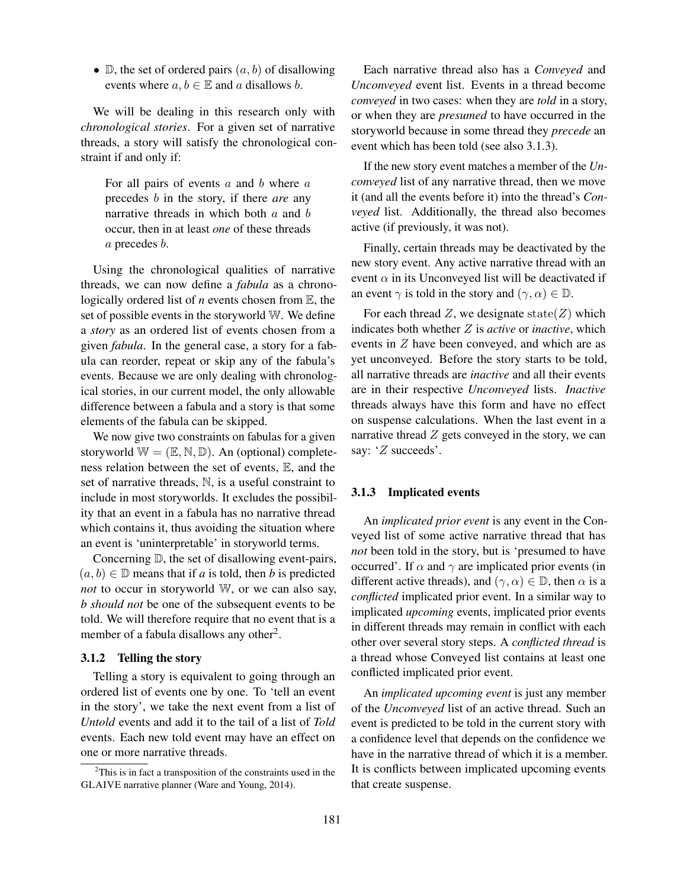• D, the set of ordered pairs  $(a, b)$  of disallowing events where  $a, b \in \mathbb{E}$  and a disallows b.

We will be dealing in this research only with *chronological stories*. For a given set of narrative threads, a story will satisfy the chronological constraint if and only if:

For all pairs of events  $a$  and  $b$  where  $a$ precedes b in the story, if there *are* any narrative threads in which both  $a$  and  $b$ occur, then in at least *one* of these threads a precedes b.

Using the chronological qualities of narrative threads, we can now define a *fabula* as a chronologically ordered list of *n* events chosen from E, the set of possible events in the storyworld W. We define a *story* as an ordered list of events chosen from a given *fabula*. In the general case, a story for a fabula can reorder, repeat or skip any of the fabula's events. Because we are only dealing with chronological stories, in our current model, the only allowable difference between a fabula and a story is that some elements of the fabula can be skipped.

We now give two constraints on fabulas for a given storyworld  $\mathbb{W} = (\mathbb{E}, \mathbb{N}, \mathbb{D})$ . An (optional) completeness relation between the set of events, E, and the set of narrative threads, N, is a useful constraint to include in most storyworlds. It excludes the possibility that an event in a fabula has no narrative thread which contains it, thus avoiding the situation where an event is 'uninterpretable' in storyworld terms.

Concerning D, the set of disallowing event-pairs,  $(a, b) \in \mathbb{D}$  means that if *a* is told, then *b* is predicted *not* to occur in storyworld W, or we can also say, *b should not* be one of the subsequent events to be told. We will therefore require that no event that is a member of a fabula disallows any other<sup>2</sup>.

## 3.1.2 Telling the story

Telling a story is equivalent to going through an ordered list of events one by one. To 'tell an event in the story', we take the next event from a list of *Untold* events and add it to the tail of a list of *Told* events. Each new told event may have an effect on one or more narrative threads.

Each narrative thread also has a *Conveyed* and *Unconveyed* event list. Events in a thread become *conveyed* in two cases: when they are *told* in a story, or when they are *presumed* to have occurred in the storyworld because in some thread they *precede* an event which has been told (see also 3.1.3).

If the new story event matches a member of the *Unconveyed* list of any narrative thread, then we move it (and all the events before it) into the thread's *Conveyed* list. Additionally, the thread also becomes active (if previously, it was not).

Finally, certain threads may be deactivated by the new story event. Any active narrative thread with an event  $\alpha$  in its Unconveyed list will be deactivated if an event  $\gamma$  is told in the story and  $(\gamma, \alpha) \in \mathbb{D}$ .

For each thread  $Z$ , we designate state( $Z$ ) which indicates both whether Z is *active* or *inactive*, which events in Z have been conveyed, and which are as yet unconveyed. Before the story starts to be told, all narrative threads are *inactive* and all their events are in their respective *Unconveyed* lists. *Inactive* threads always have this form and have no effect on suspense calculations. When the last event in a narrative thread  $Z$  gets conveyed in the story, we can say: 'Z succeeds'.

## 3.1.3 Implicated events

An *implicated prior event* is any event in the Conveyed list of some active narrative thread that has *not* been told in the story, but is 'presumed to have occurred'. If  $\alpha$  and  $\gamma$  are implicated prior events (in different active threads), and  $(\gamma, \alpha) \in \mathbb{D}$ , then  $\alpha$  is a *conflicted* implicated prior event. In a similar way to implicated *upcoming* events, implicated prior events in different threads may remain in conflict with each other over several story steps. A *conflicted thread* is a thread whose Conveyed list contains at least one conflicted implicated prior event.

An *implicated upcoming event* is just any member of the *Unconveyed* list of an active thread. Such an event is predicted to be told in the current story with a confidence level that depends on the confidence we have in the narrative thread of which it is a member. It is conflicts between implicated upcoming events that create suspense.

<sup>2</sup>This is in fact a transposition of the constraints used in the GLAIVE narrative planner (Ware and Young, 2014).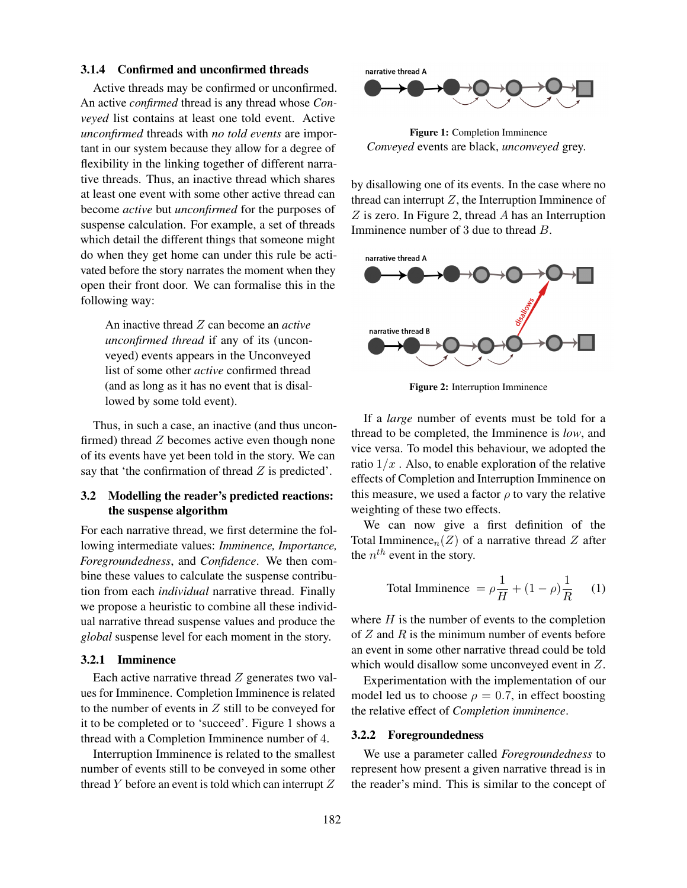#### 3.1.4 Confirmed and unconfirmed threads

Active threads may be confirmed or unconfirmed. An active *confirmed* thread is any thread whose *Conveyed* list contains at least one told event. Active *unconfirmed* threads with *no told events* are important in our system because they allow for a degree of flexibility in the linking together of different narrative threads. Thus, an inactive thread which shares at least one event with some other active thread can become *active* but *unconfirmed* for the purposes of suspense calculation. For example, a set of threads which detail the different things that someone might do when they get home can under this rule be activated before the story narrates the moment when they open their front door. We can formalise this in the following way:

An inactive thread Z can become an *active unconfirmed thread* if any of its (unconveyed) events appears in the Unconveyed list of some other *active* confirmed thread (and as long as it has no event that is disallowed by some told event).

Thus, in such a case, an inactive (and thus unconfirmed) thread  $Z$  becomes active even though none of its events have yet been told in the story. We can say that 'the confirmation of thread  $Z$  is predicted'.

## 3.2 Modelling the reader's predicted reactions: the suspense algorithm

For each narrative thread, we first determine the following intermediate values: *Imminence, Importance, Foregroundedness*, and *Confidence*. We then combine these values to calculate the suspense contribution from each *individual* narrative thread. Finally we propose a heuristic to combine all these individual narrative thread suspense values and produce the *global* suspense level for each moment in the story.

## 3.2.1 Imminence

Each active narrative thread  $Z$  generates two values for Imminence. Completion Imminence is related to the number of events in  $Z$  still to be conveyed for it to be completed or to 'succeed'. Figure 1 shows a thread with a Completion Imminence number of 4.

Interruption Imminence is related to the smallest number of events still to be conveyed in some other thread  $Y$  before an event is told which can interrupt  $Z$ 



Figure 1: Completion Imminence *Conveyed* events are black, *unconveyed* grey.

by disallowing one of its events. In the case where no thread can interrupt  $Z$ , the Interruption Imminence of  $Z$  is zero. In Figure 2, thread  $A$  has an Interruption Imminence number of 3 due to thread B.



Figure 2: Interruption Imminence

If a *large* number of events must be told for a thread to be completed, the Imminence is *low*, and vice versa. To model this behaviour, we adopted the ratio  $1/x$ . Also, to enable exploration of the relative effects of Completion and Interruption Imminence on this measure, we used a factor  $\rho$  to vary the relative weighting of these two effects.

We can now give a first definition of the Total Imminence<sub>n</sub> $(Z)$  of a narrative thread Z after the  $n^{th}$  event in the story.

Total Immience 
$$
= \rho \frac{1}{H} + (1 - \rho) \frac{1}{R}
$$
 (1)

where  $H$  is the number of events to the completion of  $Z$  and  $R$  is the minimum number of events before an event in some other narrative thread could be told which would disallow some unconveyed event in Z.

Experimentation with the implementation of our model led us to choose  $\rho = 0.7$ , in effect boosting the relative effect of *Completion imminence*.

#### 3.2.2 Foregroundedness

We use a parameter called *Foregroundedness* to represent how present a given narrative thread is in the reader's mind. This is similar to the concept of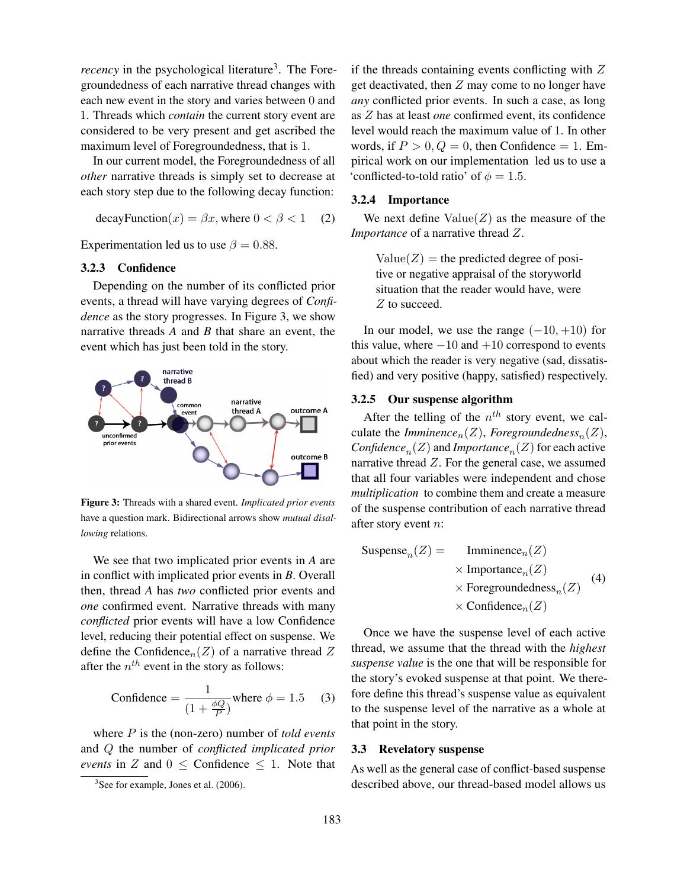*recency* in the psychological literature<sup>3</sup>. The Foregroundedness of each narrative thread changes with each new event in the story and varies between 0 and 1. Threads which *contain* the current story event are considered to be very present and get ascribed the maximum level of Foregroundedness, that is 1.

In our current model, the Foregroundedness of all *other* narrative threads is simply set to decrease at each story step due to the following decay function:

$$
decayFunction(x) = \beta x, where 0 < \beta < 1
$$
 (2)

Experimentation led us to use  $\beta = 0.88$ .

#### 3.2.3 Confidence

Depending on the number of its conflicted prior events, a thread will have varying degrees of *Confidence* as the story progresses. In Figure 3, we show narrative threads *A* and *B* that share an event, the event which has just been told in the story.



Figure 3: Threads with a shared event. *Implicated prior events* have a question mark. Bidirectional arrows show *mutual disallowing* relations.

We see that two implicated prior events in *A* are in conflict with implicated prior events in *B*. Overall then, thread *A* has *two* conflicted prior events and *one* confirmed event. Narrative threads with many *conflicted* prior events will have a low Confidence level, reducing their potential effect on suspense. We define the Confidence<sub>n</sub> $(Z)$  of a narrative thread Z after the  $n^{th}$  event in the story as follows:

$$
\text{Confidence} = \frac{1}{\left(1 + \frac{\phi Q}{P}\right)} \text{where } \phi = 1.5 \quad (3)
$$

where P is the (non-zero) number of *told events* and Q the number of *conflicted implicated prior events* in Z and  $0 \leq$  Confidence  $\leq$  1. Note that if the threads containing events conflicting with  $Z$ get deactivated, then Z may come to no longer have *any* conflicted prior events. In such a case, as long as Z has at least *one* confirmed event, its confidence level would reach the maximum value of 1. In other words, if  $P > 0$ ,  $Q = 0$ , then Confidence = 1. Empirical work on our implementation led us to use a 'conflicted-to-told ratio' of  $\phi = 1.5$ .

#### 3.2.4 Importance

We next define  $Value(Z)$  as the measure of the *Importance* of a narrative thread Z.

 $Value(Z)$  = the predicted degree of positive or negative appraisal of the storyworld situation that the reader would have, were Z to succeed.

In our model, we use the range  $(-10, +10)$  for this value, where  $-10$  and  $+10$  correspond to events about which the reader is very negative (sad, dissatisfied) and very positive (happy, satisfied) respectively.

#### 3.2.5 Our suspense algorithm

After the telling of the  $n^{th}$  story event, we calculate the *Imminence*<sub>n</sub>(*Z*), *Foregroundedness*<sub>n</sub>(*Z*),  $Confidence_n(Z)$  and *Importance* $_n(Z)$  for each active narrative thread  $Z$ . For the general case, we assumed that all four variables were independent and chose *multiplication* to combine them and create a measure of the suspense contribution of each narrative thread after story event n:

| Subgense <sub>n</sub> (Z)                  | Imminence <sub>n</sub> (Z) |
|--------------------------------------------|----------------------------|
| $\times$ Importantace <sub>n</sub> (Z)     |                            |
| $\times$ Foregroundedness <sub>n</sub> (Z) |                            |
| $\times$ Confidence <sub>n</sub> (Z)       |                            |

Once we have the suspense level of each active thread, we assume that the thread with the *highest suspense value* is the one that will be responsible for the story's evoked suspense at that point. We therefore define this thread's suspense value as equivalent to the suspense level of the narrative as a whole at that point in the story.

#### 3.3 Revelatory suspense

As well as the general case of conflict-based suspense described above, our thread-based model allows us

<sup>&</sup>lt;sup>3</sup>See for example, Jones et al. (2006).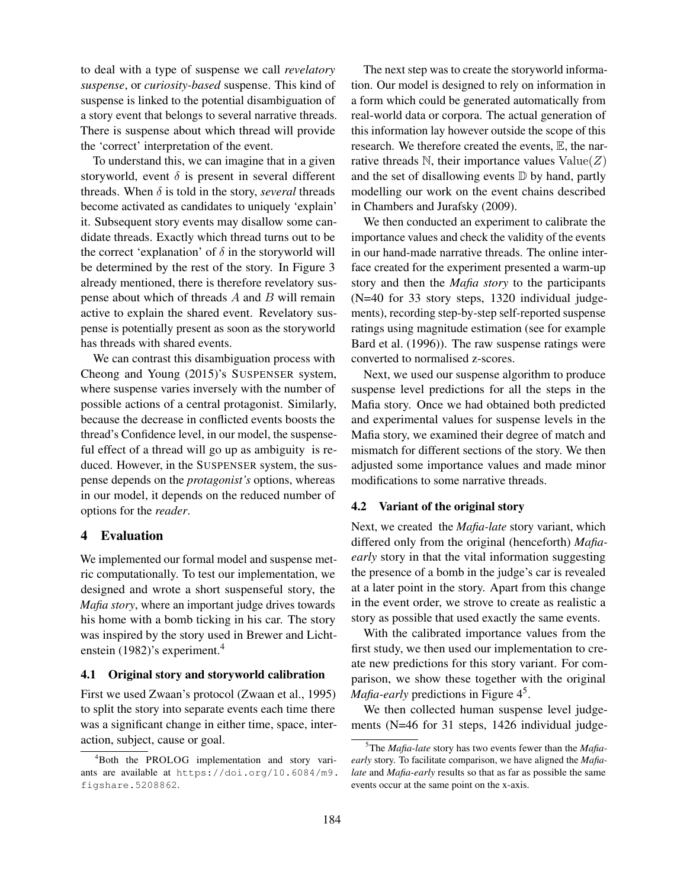to deal with a type of suspense we call *revelatory suspense*, or *curiosity-based* suspense. This kind of suspense is linked to the potential disambiguation of a story event that belongs to several narrative threads. There is suspense about which thread will provide the 'correct' interpretation of the event.

To understand this, we can imagine that in a given storyworld, event  $\delta$  is present in several different threads. When  $\delta$  is told in the story, *several* threads become activated as candidates to uniquely 'explain' it. Subsequent story events may disallow some candidate threads. Exactly which thread turns out to be the correct 'explanation' of  $\delta$  in the storyworld will be determined by the rest of the story. In Figure 3 already mentioned, there is therefore revelatory suspense about which of threads  $A$  and  $B$  will remain active to explain the shared event. Revelatory suspense is potentially present as soon as the storyworld has threads with shared events.

We can contrast this disambiguation process with Cheong and Young (2015)'s SUSPENSER system, where suspense varies inversely with the number of possible actions of a central protagonist. Similarly, because the decrease in conflicted events boosts the thread's Confidence level, in our model, the suspenseful effect of a thread will go up as ambiguity is reduced. However, in the SUSPENSER system, the suspense depends on the *protagonist's* options, whereas in our model, it depends on the reduced number of options for the *reader*.

## 4 Evaluation

We implemented our formal model and suspense metric computationally. To test our implementation, we designed and wrote a short suspenseful story, the *Mafia story*, where an important judge drives towards his home with a bomb ticking in his car. The story was inspired by the story used in Brewer and Lichtenstein (1982)'s experiment.<sup>4</sup>

#### 4.1 Original story and storyworld calibration

First we used Zwaan's protocol (Zwaan et al., 1995) to split the story into separate events each time there was a significant change in either time, space, interaction, subject, cause or goal.

The next step was to create the storyworld information. Our model is designed to rely on information in a form which could be generated automatically from real-world data or corpora. The actual generation of this information lay however outside the scope of this research. We therefore created the events, E, the narrative threads  $\mathbb N$ , their importance values  $Value(Z)$ and the set of disallowing events  $D$  by hand, partly modelling our work on the event chains described in Chambers and Jurafsky (2009).

We then conducted an experiment to calibrate the importance values and check the validity of the events in our hand-made narrative threads. The online interface created for the experiment presented a warm-up story and then the *Mafia story* to the participants (N=40 for 33 story steps, 1320 individual judgements), recording step-by-step self-reported suspense ratings using magnitude estimation (see for example Bard et al. (1996)). The raw suspense ratings were converted to normalised z-scores.

Next, we used our suspense algorithm to produce suspense level predictions for all the steps in the Mafia story. Once we had obtained both predicted and experimental values for suspense levels in the Mafia story, we examined their degree of match and mismatch for different sections of the story. We then adjusted some importance values and made minor modifications to some narrative threads.

## 4.2 Variant of the original story

Next, we created the *Mafia-late* story variant, which differed only from the original (henceforth) *Mafiaearly* story in that the vital information suggesting the presence of a bomb in the judge's car is revealed at a later point in the story. Apart from this change in the event order, we strove to create as realistic a story as possible that used exactly the same events.

With the calibrated importance values from the first study, we then used our implementation to create new predictions for this story variant. For comparison, we show these together with the original Mafia-early predictions in Figure 4<sup>5</sup>.

We then collected human suspense level judgements (N=46 for 31 steps, 1426 individual judge-

<sup>4</sup>Both the PROLOG implementation and story variants are available at https://doi.org/10.6084/m9. figshare.5208862.

<sup>5</sup>The *Mafia-late* story has two events fewer than the *Mafiaearly* story. To facilitate comparison, we have aligned the *Mafialate* and *Mafia-early* results so that as far as possible the same events occur at the same point on the x-axis.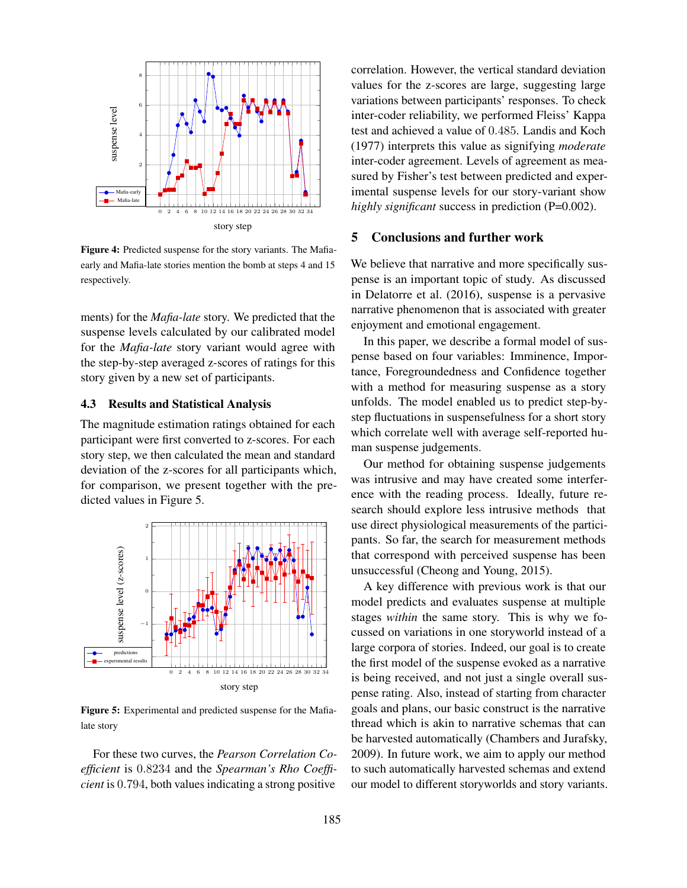

Figure 4: Predicted suspense for the story variants. The Mafiaearly and Mafia-late stories mention the bomb at steps 4 and 15 respectively.

ments) for the *Mafia-late* story. We predicted that the suspense levels calculated by our calibrated model for the *Mafia-late* story variant would agree with the step-by-step averaged z-scores of ratings for this story given by a new set of participants.

## 4.3 Results and Statistical Analysis

The magnitude estimation ratings obtained for each participant were first converted to z-scores. For each story step, we then calculated the mean and standard deviation of the z-scores for all participants which, for comparison, we present together with the predicted values in Figure 5.



Figure 5: Experimental and predicted suspense for the Mafialate story

For these two curves, the *Pearson Correlation Coefficient* is 0.8234 and the *Spearman's Rho Coefficient* is 0.794, both values indicating a strong positive correlation. However, the vertical standard deviation values for the z-scores are large, suggesting large variations between participants' responses. To check inter-coder reliability, we performed Fleiss' Kappa test and achieved a value of 0.485. Landis and Koch (1977) interprets this value as signifying *moderate* inter-coder agreement. Levels of agreement as measured by Fisher's test between predicted and experimental suspense levels for our story-variant show *highly significant* success in prediction (P=0.002).

## 5 Conclusions and further work

We believe that narrative and more specifically suspense is an important topic of study. As discussed in Delatorre et al. (2016), suspense is a pervasive narrative phenomenon that is associated with greater enjoyment and emotional engagement.

In this paper, we describe a formal model of suspense based on four variables: Imminence, Importance, Foregroundedness and Confidence together with a method for measuring suspense as a story unfolds. The model enabled us to predict step-bystep fluctuations in suspensefulness for a short story which correlate well with average self-reported human suspense judgements.

Our method for obtaining suspense judgements was intrusive and may have created some interference with the reading process. Ideally, future research should explore less intrusive methods that use direct physiological measurements of the participants. So far, the search for measurement methods that correspond with perceived suspense has been unsuccessful (Cheong and Young, 2015).

A key difference with previous work is that our model predicts and evaluates suspense at multiple stages *within* the same story. This is why we focussed on variations in one storyworld instead of a large corpora of stories. Indeed, our goal is to create the first model of the suspense evoked as a narrative is being received, and not just a single overall suspense rating. Also, instead of starting from character goals and plans, our basic construct is the narrative thread which is akin to narrative schemas that can be harvested automatically (Chambers and Jurafsky, 2009). In future work, we aim to apply our method to such automatically harvested schemas and extend our model to different storyworlds and story variants.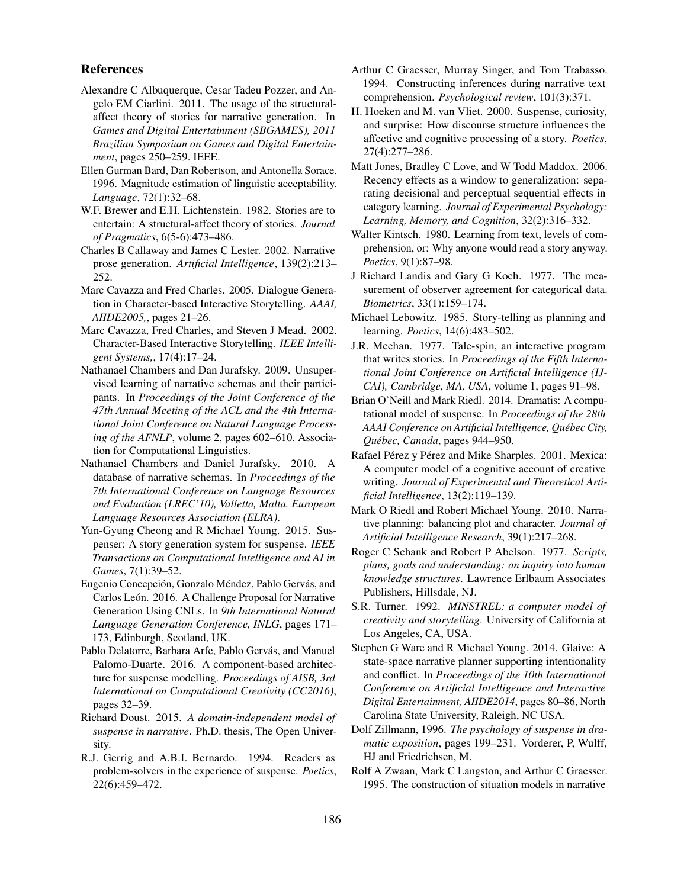### References

- Alexandre C Albuquerque, Cesar Tadeu Pozzer, and Angelo EM Ciarlini. 2011. The usage of the structuralaffect theory of stories for narrative generation. In *Games and Digital Entertainment (SBGAMES), 2011 Brazilian Symposium on Games and Digital Entertainment*, pages 250–259. IEEE.
- Ellen Gurman Bard, Dan Robertson, and Antonella Sorace. 1996. Magnitude estimation of linguistic acceptability. *Language*, 72(1):32–68.
- W.F. Brewer and E.H. Lichtenstein. 1982. Stories are to entertain: A structural-affect theory of stories. *Journal of Pragmatics*, 6(5-6):473–486.
- Charles B Callaway and James C Lester. 2002. Narrative prose generation. *Artificial Intelligence*, 139(2):213– 252.
- Marc Cavazza and Fred Charles. 2005. Dialogue Generation in Character-based Interactive Storytelling. *AAAI, AIIDE2005,*, pages 21–26.
- Marc Cavazza, Fred Charles, and Steven J Mead. 2002. Character-Based Interactive Storytelling. *IEEE Intelligent Systems,*, 17(4):17–24.
- Nathanael Chambers and Dan Jurafsky. 2009. Unsupervised learning of narrative schemas and their participants. In *Proceedings of the Joint Conference of the 47th Annual Meeting of the ACL and the 4th International Joint Conference on Natural Language Processing of the AFNLP*, volume 2, pages 602–610. Association for Computational Linguistics.
- Nathanael Chambers and Daniel Jurafsky. 2010. A database of narrative schemas. In *Proceedings of the 7th International Conference on Language Resources and Evaluation (LREC'10), Valletta, Malta. European Language Resources Association (ELRA)*.
- Yun-Gyung Cheong and R Michael Young. 2015. Suspenser: A story generation system for suspense. *IEEE Transactions on Computational Intelligence and AI in Games*, 7(1):39–52.
- Eugenio Concepción, Gonzalo Méndez, Pablo Gervás, and Carlos León. 2016. A Challenge Proposal for Narrative Generation Using CNLs. In *9th International Natural Language Generation Conference, INLG*, pages 171– 173, Edinburgh, Scotland, UK.
- Pablo Delatorre, Barbara Arfe, Pablo Gervás, and Manuel Palomo-Duarte. 2016. A component-based architecture for suspense modelling. *Proceedings of AISB, 3rd International on Computational Creativity (CC2016)*, pages 32–39.
- Richard Doust. 2015. *A domain-independent model of suspense in narrative*. Ph.D. thesis, The Open University.
- R.J. Gerrig and A.B.I. Bernardo. 1994. Readers as problem-solvers in the experience of suspense. *Poetics*, 22(6):459–472.
- Arthur C Graesser, Murray Singer, and Tom Trabasso. 1994. Constructing inferences during narrative text comprehension. *Psychological review*, 101(3):371.
- H. Hoeken and M. van Vliet. 2000. Suspense, curiosity, and surprise: How discourse structure influences the affective and cognitive processing of a story. *Poetics*, 27(4):277–286.
- Matt Jones, Bradley C Love, and W Todd Maddox. 2006. Recency effects as a window to generalization: separating decisional and perceptual sequential effects in category learning. *Journal of Experimental Psychology: Learning, Memory, and Cognition*, 32(2):316–332.
- Walter Kintsch. 1980. Learning from text, levels of comprehension, or: Why anyone would read a story anyway. *Poetics*, 9(1):87–98.
- J Richard Landis and Gary G Koch. 1977. The measurement of observer agreement for categorical data. *Biometrics*, 33(1):159–174.
- Michael Lebowitz. 1985. Story-telling as planning and learning. *Poetics*, 14(6):483–502.
- J.R. Meehan. 1977. Tale-spin, an interactive program that writes stories. In *Proceedings of the Fifth International Joint Conference on Artificial Intelligence (IJ-CAI), Cambridge, MA, USA*, volume 1, pages 91–98.
- Brian O'Neill and Mark Riedl. 2014. Dramatis: A computational model of suspense. In *Proceedings of the 28th AAAI Conference on Artificial Intelligence, Quebec City, ´ Quebec, Canada ´* , pages 944–950.
- Rafael Pérez y Pérez and Mike Sharples. 2001. Mexica: A computer model of a cognitive account of creative writing. *Journal of Experimental and Theoretical Artificial Intelligence*, 13(2):119–139.
- Mark O Riedl and Robert Michael Young. 2010. Narrative planning: balancing plot and character. *Journal of Artificial Intelligence Research*, 39(1):217–268.
- Roger C Schank and Robert P Abelson. 1977. *Scripts, plans, goals and understanding: an inquiry into human knowledge structures*. Lawrence Erlbaum Associates Publishers, Hillsdale, NJ.
- S.R. Turner. 1992. *MINSTREL: a computer model of creativity and storytelling*. University of California at Los Angeles, CA, USA.
- Stephen G Ware and R Michael Young. 2014. Glaive: A state-space narrative planner supporting intentionality and conflict. In *Proceedings of the 10th International Conference on Artificial Intelligence and Interactive Digital Entertainment, AIIDE2014*, pages 80–86, North Carolina State University, Raleigh, NC USA.
- Dolf Zillmann, 1996. *The psychology of suspense in dramatic exposition*, pages 199–231. Vorderer, P, Wulff, HJ and Friedrichsen, M.
- Rolf A Zwaan, Mark C Langston, and Arthur C Graesser. 1995. The construction of situation models in narrative